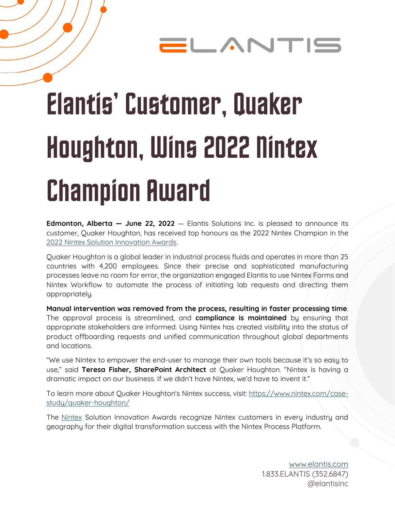### ELANTI!

# Elantis' Customer, Quaker Houghton, Wins 2022 Nintex **Champion Award**

**Edmonton, Alberta — June 22, 2022** — Elantis Solutions Inc. is pleased to announce its customer, Quaker Houghton, has received top honours as the 2022 Nintex Champion in the [2022 Nintex Solution Innovation Awards.](https://www.nintex.com/using-nintex/customer-and-partner-awards/2022-nintex-solution-innovation-awards/)

Quaker Houghton is a global leader in industrial process fluids and operates in more than 25 countries with 4,200 employees. Since their precise and sophisticated manufacturing processes leave no room for error, the organization engaged Elantis to use Nintex Forms and Nintex Workflow to automate the process of initiating lab requests and directing them appropriately.

**Manual intervention was removed from the process, resulting in faster processing time**. The approval process is streamlined, and **compliance is maintained** by ensuring that appropriate stakeholders are informed. Using Nintex has created visibility into the status of product offboarding requests and unified communication throughout global departments and locations.

"We use Nintex to empower the end-user to manage their own tools because it's so easy to use," said **Teresa Fisher, SharePoint Architect** at Quaker Houghton. "Nintex is having a dramatic impact on our business. If we didn't have Nintex, we'd have to invent it."

To learn more about Quaker Houghton's Nintex success, visit: [https://www.nintex.com/case](https://www.nintex.com/case-study/quaker-houghton/)[study/quaker-houghton/](https://www.nintex.com/case-study/quaker-houghton/)

The [Nintex](https://www.nintex.com/) Solution Innovation Awards recognize Nintex customers in every industry and geography for their digital transformation success with the Nintex Process Platform.

> [www.elantis.com](http://www.elantis.com/) 1.833.ELANTIS (352.6847) @elantisinc